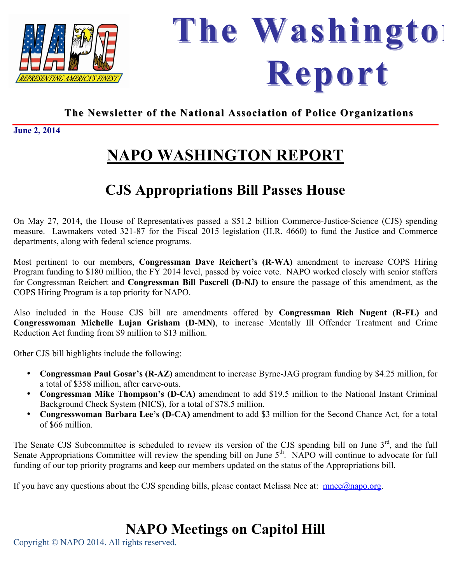



 *Representing America's Finest Representing America's Finest* **June 2, 2014** 

# **NAPO WASHINGTON REPORT**

## **CJS Appropriations Bill Passes House**

On May 27, 2014, the House of Representatives passed a \$51.2 billion Commerce-Justice-Science (CJS) spending measure. Lawmakers voted 321-87 for the Fiscal 2015 legislation (H.R. 4660) to fund the Justice and Commerce departments, along with federal science programs.

Most pertinent to our members, **Congressman Dave Reichert's (R-WA)** amendment to increase COPS Hiring Program funding to \$180 million, the FY 2014 level, passed by voice vote. NAPO worked closely with senior staffers for Congressman Reichert and **Congressman Bill Pascrell (D-NJ)** to ensure the passage of this amendment, as the COPS Hiring Program is a top priority for NAPO.

Also included in the House CJS bill are amendments offered by **Congressman Rich Nugent (R-FL)** and **Congresswoman Michelle Lujan Grisham (D-MN)**, to increase Mentally Ill Offender Treatment and Crime Reduction Act funding from \$9 million to \$13 million.

Other CJS bill highlights include the following:

- **Congressman Paul Gosar's (R-AZ)** amendment to increase Byrne-JAG program funding by \$4.25 million, for a total of \$358 million, after carve-outs.
- **Congressman Mike Thompson's (D-CA)** amendment to add \$19.5 million to the National Instant Criminal Background Check System (NICS), for a total of \$78.5 million.
- **Congresswoman Barbara Lee's (D-CA)** amendment to add \$3 million for the Second Chance Act, for a total of \$66 million.

The Senate CJS Subcommittee is scheduled to review its version of the CJS spending bill on June  $3<sup>rd</sup>$ , and the full Senate Appropriations Committee will review the spending bill on June 5<sup>th</sup>. NAPO will continue to advocate for full funding of our top priority programs and keep our members updated on the status of the Appropriations bill.

If you have any questions about the CJS spending bills, please contact Melissa Nee at:  $\frac{\text{mnee}(a)\text{napo.org}}{\text{mere}(a)\text{napo.org}}$ .

#### **NAPO Meetings on Capitol Hill**

Copyright © NAPO 2014. All rights reserved.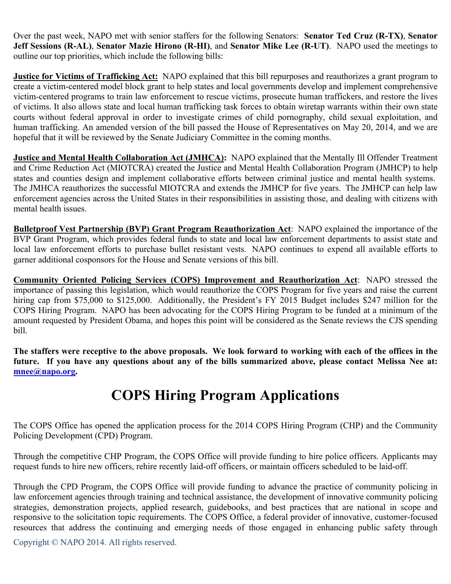Over the past week, NAPO met with senior staffers for the following Senators: **Senator Ted Cruz (R-TX)**, **Senator Jeff Sessions (R-AL)**, **Senator Mazie Hirono (R-HI)**, and **Senator Mike Lee (R-UT)**. NAPO used the meetings to outline our top priorities, which include the following bills:

**Justice for Victims of Trafficking Act:** NAPO explained that this bill repurposes and reauthorizes a grant program to create a victim-centered model block grant to help states and local governments develop and implement comprehensive victim-centered programs to train law enforcement to rescue victims, prosecute human traffickers, and restore the lives of victims. It also allows state and local human trafficking task forces to obtain wiretap warrants within their own state courts without federal approval in order to investigate crimes of child pornography, child sexual exploitation, and human trafficking. An amended version of the bill passed the House of Representatives on May 20, 2014, and we are hopeful that it will be reviewed by the Senate Judiciary Committee in the coming months.

**Justice and Mental Health Collaboration Act (JMHCA):** NAPO explained that the Mentally Ill Offender Treatment and Crime Reduction Act (MIOTCRA) created the Justice and Mental Health Collaboration Program (JMHCP) to help states and counties design and implement collaborative efforts between criminal justice and mental health systems. The JMHCA reauthorizes the successful MIOTCRA and extends the JMHCP for five years. The JMHCP can help law enforcement agencies across the United States in their responsibilities in assisting those, and dealing with citizens with mental health issues.

**Bulletproof Vest Partnership (BVP) Grant Program Reauthorization Act**: NAPO explained the importance of the BVP Grant Program, which provides federal funds to state and local law enforcement departments to assist state and local law enforcement efforts to purchase bullet resistant vests. NAPO continues to expend all available efforts to garner additional cosponsors for the House and Senate versions of this bill.

**Community Oriented Policing Services (COPS) Improvement and Reauthorization Act**: NAPO stressed the importance of passing this legislation, which would reauthorize the COPS Program for five years and raise the current hiring cap from \$75,000 to \$125,000. Additionally, the President's FY 2015 Budget includes \$247 million for the COPS Hiring Program. NAPO has been advocating for the COPS Hiring Program to be funded at a minimum of the amount requested by President Obama, and hopes this point will be considered as the Senate reviews the CJS spending bill.

**The staffers were receptive to the above proposals. We look forward to working with each of the offices in the future. If you have any questions about any of the bills summarized above, please contact Melissa Nee at: mnee@napo.org.**

## **COPS Hiring Program Applications**

The COPS Office has opened the application process for the 2014 COPS Hiring Program (CHP) and the Community Policing Development (CPD) Program.

Through the competitive CHP Program, the COPS Office will provide funding to hire police officers. Applicants may request funds to hire new officers, rehire recently laid-off officers, or maintain officers scheduled to be laid-off.

Through the CPD Program, the COPS Office will provide funding to advance the practice of community policing in law enforcement agencies through training and technical assistance, the development of innovative community policing strategies, demonstration projects, applied research, guidebooks, and best practices that are national in scope and responsive to the solicitation topic requirements. The COPS Office, a federal provider of innovative, customer-focused resources that address the continuing and emerging needs of those engaged in enhancing public safety through

Copyright © NAPO 2014. All rights reserved.